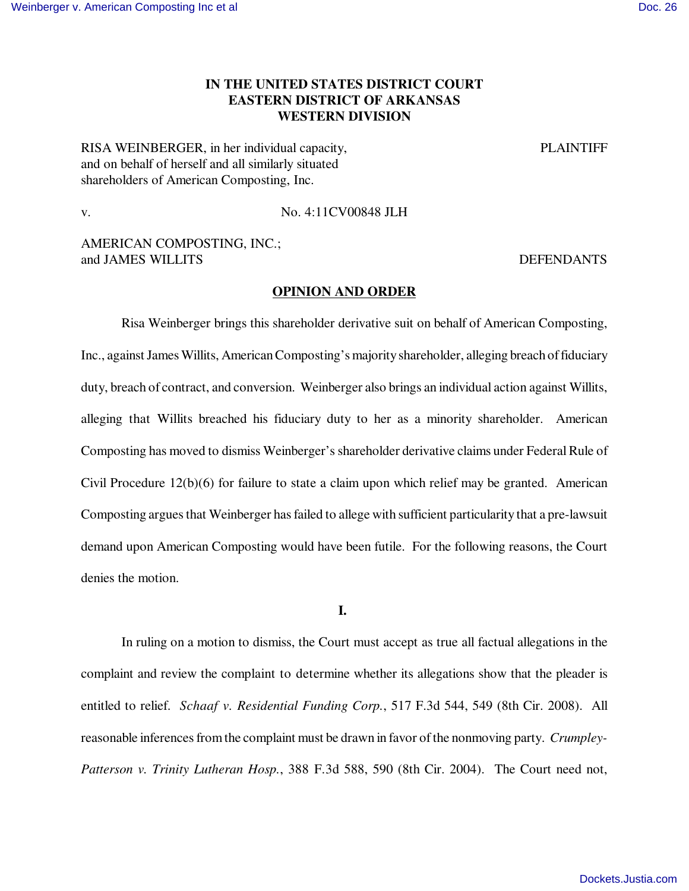# **IN THE UNITED STATES DISTRICT COURT EASTERN DISTRICT OF ARKANSAS WESTERN DIVISION**

RISA WEINBERGER, in her individual capacity, PLAINTIFF and on behalf of herself and all similarly situated shareholders of American Composting, Inc.

v. No. 4:11CV00848 JLH

# AMERICAN COMPOSTING, INC.; and JAMES WILLITS DEFENDANTS

## **OPINION AND ORDER**

Risa Weinberger brings this shareholder derivative suit on behalf of American Composting, Inc., against James Willits, American Composting's majority shareholder, alleging breach of fiduciary duty, breach of contract, and conversion. Weinberger also brings an individual action against Willits, alleging that Willits breached his fiduciary duty to her as a minority shareholder. American Composting has moved to dismiss Weinberger's shareholder derivative claims under Federal Rule of Civil Procedure 12(b)(6) for failure to state a claim upon which relief may be granted. American Composting argues that Weinberger has failed to allege with sufficient particularity that a pre-lawsuit demand upon American Composting would have been futile. For the following reasons, the Court denies the motion.

#### **I.**

In ruling on a motion to dismiss, the Court must accept as true all factual allegations in the complaint and review the complaint to determine whether its allegations show that the pleader is entitled to relief. *Schaaf v. Residential Funding Corp.*, 517 F.3d 544, 549 (8th Cir. 2008). All reasonable inferences from the complaint must be drawn in favor of the nonmoving party. *Crumpley-Patterson v. Trinity Lutheran Hosp.*, 388 F.3d 588, 590 (8th Cir. 2004). The Court need not,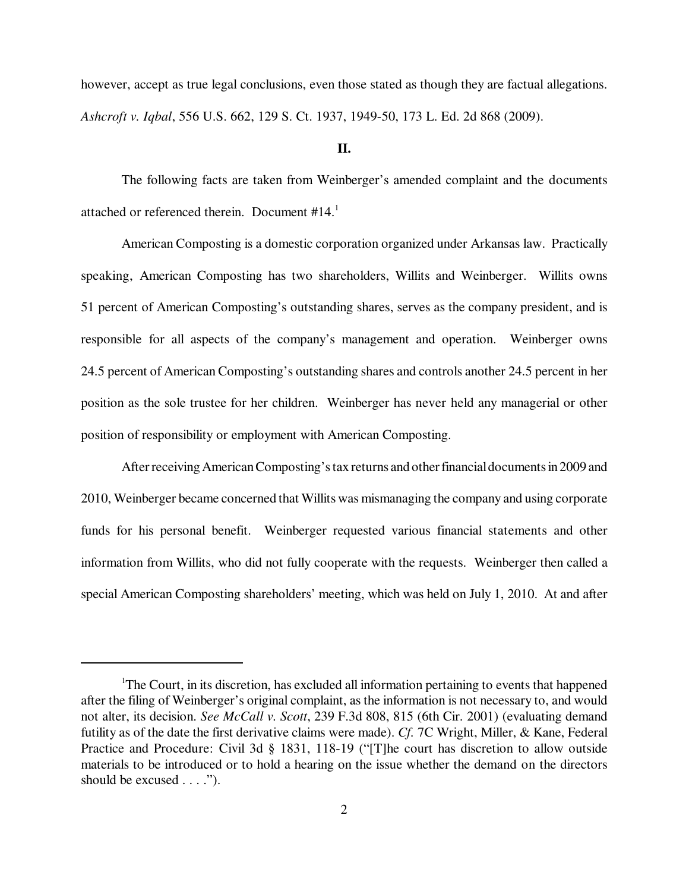however, accept as true legal conclusions, even those stated as though they are factual allegations. *Ashcroft v. Iqbal*, 556 U.S. 662, 129 S. Ct. 1937, 1949-50, 173 L. Ed. 2d 868 (2009).

### **II.**

The following facts are taken from Weinberger's amended complaint and the documents attached or referenced therein. Document #14.<sup>1</sup>

American Composting is a domestic corporation organized under Arkansas law. Practically speaking, American Composting has two shareholders, Willits and Weinberger. Willits owns 51 percent of American Composting's outstanding shares, serves as the company president, and is responsible for all aspects of the company's management and operation. Weinberger owns 24.5 percent of American Composting's outstanding shares and controls another 24.5 percent in her position as the sole trustee for her children. Weinberger has never held any managerial or other position of responsibility or employment with American Composting.

After receiving American Composting's tax returns and other financial documents in 2009 and 2010, Weinberger became concerned that Willits was mismanaging the company and using corporate funds for his personal benefit. Weinberger requested various financial statements and other information from Willits, who did not fully cooperate with the requests. Weinberger then called a special American Composting shareholders' meeting, which was held on July 1, 2010. At and after

<sup>1</sup>The Court, in its discretion, has excluded all information pertaining to events that happened after the filing of Weinberger's original complaint, as the information is not necessary to, and would not alter, its decision. *See McCall v. Scott*, 239 F.3d 808, 815 (6th Cir. 2001) (evaluating demand futility as of the date the first derivative claims were made). *Cf.* 7C Wright, Miller, & Kane, Federal Practice and Procedure: Civil 3d § 1831, 118-19 ("[T]he court has discretion to allow outside materials to be introduced or to hold a hearing on the issue whether the demand on the directors should be excused . . . .").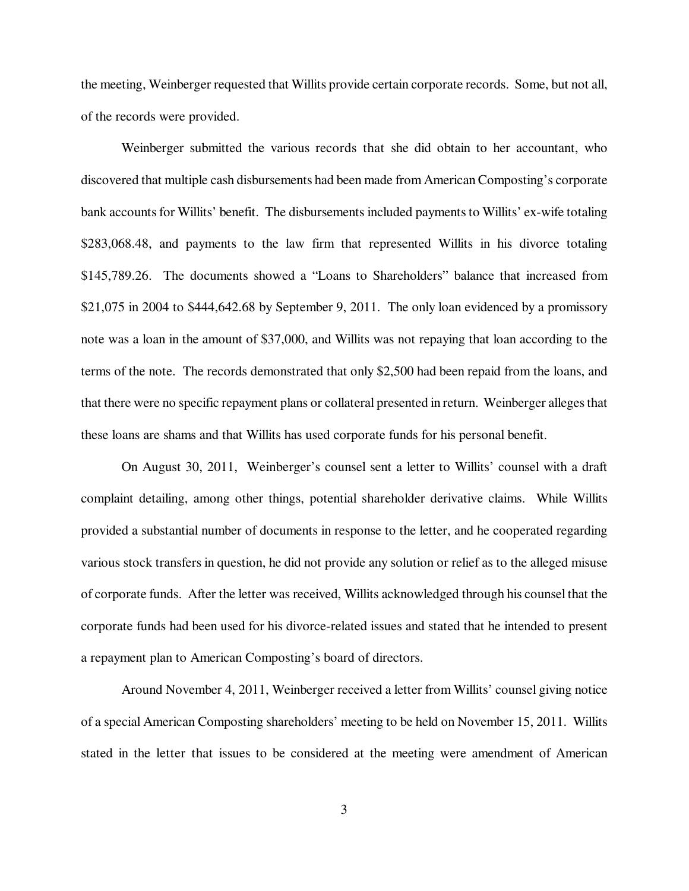the meeting, Weinberger requested that Willits provide certain corporate records. Some, but not all, of the records were provided.

Weinberger submitted the various records that she did obtain to her accountant, who discovered that multiple cash disbursements had been made from American Composting's corporate bank accounts for Willits' benefit. The disbursements included payments to Willits' ex-wife totaling \$283,068.48, and payments to the law firm that represented Willits in his divorce totaling \$145,789.26. The documents showed a "Loans to Shareholders" balance that increased from \$21,075 in 2004 to \$444,642.68 by September 9, 2011. The only loan evidenced by a promissory note was a loan in the amount of \$37,000, and Willits was not repaying that loan according to the terms of the note. The records demonstrated that only \$2,500 had been repaid from the loans, and that there were no specific repayment plans or collateral presented in return. Weinberger alleges that these loans are shams and that Willits has used corporate funds for his personal benefit.

On August 30, 2011, Weinberger's counsel sent a letter to Willits' counsel with a draft complaint detailing, among other things, potential shareholder derivative claims. While Willits provided a substantial number of documents in response to the letter, and he cooperated regarding various stock transfers in question, he did not provide any solution or relief as to the alleged misuse of corporate funds. After the letter was received, Willits acknowledged through his counsel that the corporate funds had been used for his divorce-related issues and stated that he intended to present a repayment plan to American Composting's board of directors.

Around November 4, 2011, Weinberger received a letter from Willits' counsel giving notice of a special American Composting shareholders' meeting to be held on November 15, 2011. Willits stated in the letter that issues to be considered at the meeting were amendment of American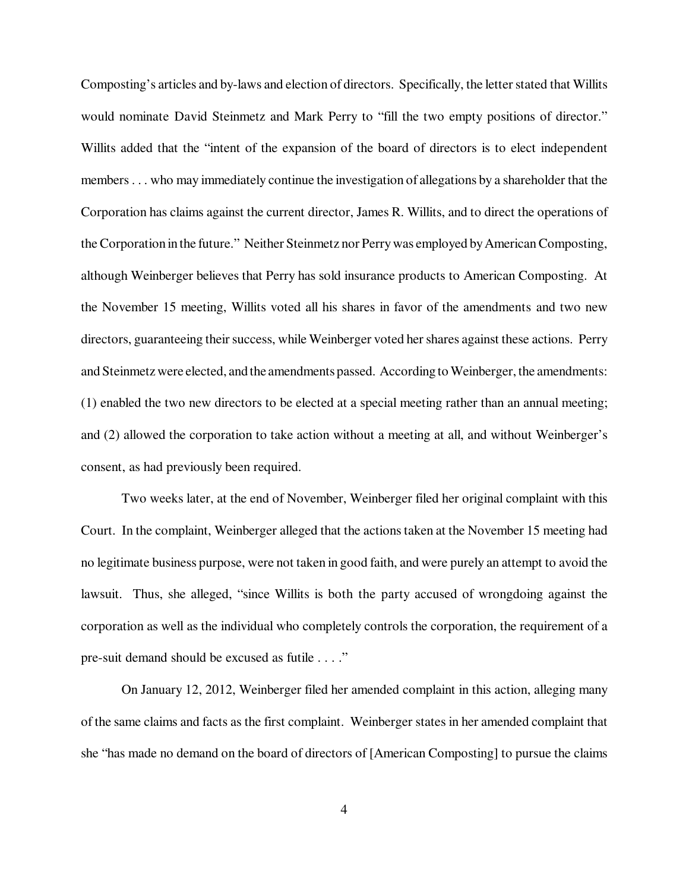Composting's articles and by-laws and election of directors. Specifically, the letter stated that Willits would nominate David Steinmetz and Mark Perry to "fill the two empty positions of director." Willits added that the "intent of the expansion of the board of directors is to elect independent members . . . who may immediately continue the investigation of allegations by a shareholder that the Corporation has claims against the current director, James R. Willits, and to direct the operations of the Corporation in the future." Neither Steinmetz nor Perry was employed by American Composting, although Weinberger believes that Perry has sold insurance products to American Composting. At the November 15 meeting, Willits voted all his shares in favor of the amendments and two new directors, guaranteeing their success, while Weinberger voted her shares against these actions. Perry and Steinmetz were elected, and the amendments passed. According to Weinberger, the amendments: (1) enabled the two new directors to be elected at a special meeting rather than an annual meeting; and (2) allowed the corporation to take action without a meeting at all, and without Weinberger's consent, as had previously been required.

Two weeks later, at the end of November, Weinberger filed her original complaint with this Court. In the complaint, Weinberger alleged that the actions taken at the November 15 meeting had no legitimate business purpose, were not taken in good faith, and were purely an attempt to avoid the lawsuit. Thus, she alleged, "since Willits is both the party accused of wrongdoing against the corporation as well as the individual who completely controls the corporation, the requirement of a pre-suit demand should be excused as futile . . . ."

On January 12, 2012, Weinberger filed her amended complaint in this action, alleging many of the same claims and facts as the first complaint. Weinberger states in her amended complaint that she "has made no demand on the board of directors of [American Composting] to pursue the claims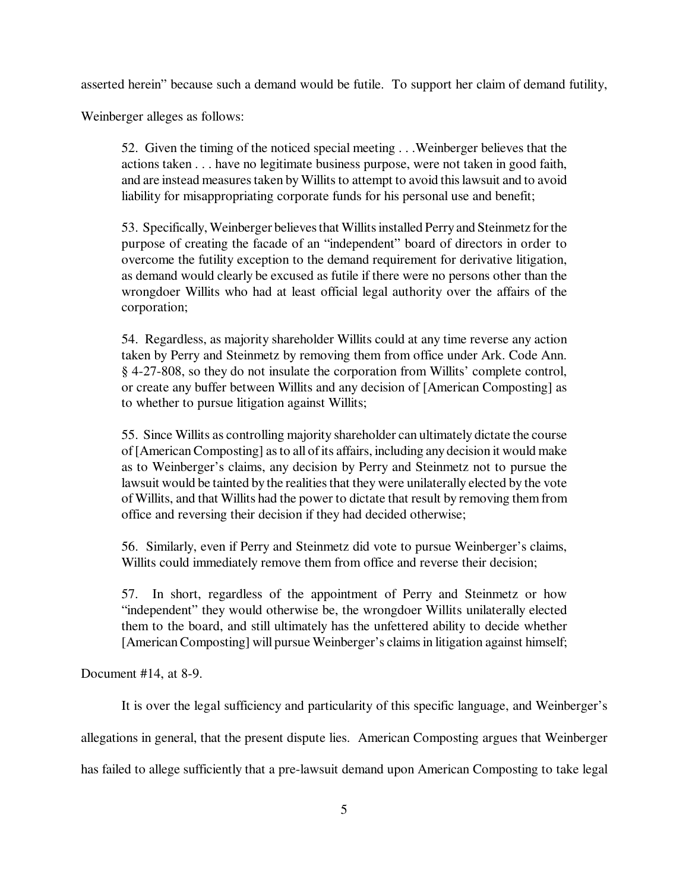asserted herein" because such a demand would be futile. To support her claim of demand futility,

Weinberger alleges as follows:

52. Given the timing of the noticed special meeting . . .Weinberger believes that the actions taken . . . have no legitimate business purpose, were not taken in good faith, and are instead measures taken by Willits to attempt to avoid this lawsuit and to avoid liability for misappropriating corporate funds for his personal use and benefit;

53. Specifically, Weinberger believes that Willits installed Perry and Steinmetz for the purpose of creating the facade of an "independent" board of directors in order to overcome the futility exception to the demand requirement for derivative litigation, as demand would clearly be excused as futile if there were no persons other than the wrongdoer Willits who had at least official legal authority over the affairs of the corporation;

54. Regardless, as majority shareholder Willits could at any time reverse any action taken by Perry and Steinmetz by removing them from office under Ark. Code Ann. § 4-27-808, so they do not insulate the corporation from Willits' complete control, or create any buffer between Willits and any decision of [American Composting] as to whether to pursue litigation against Willits;

55. Since Willits as controlling majority shareholder can ultimately dictate the course of [American Composting] as to all of its affairs, including any decision it would make as to Weinberger's claims, any decision by Perry and Steinmetz not to pursue the lawsuit would be tainted by the realities that they were unilaterally elected by the vote of Willits, and that Willits had the power to dictate that result by removing them from office and reversing their decision if they had decided otherwise;

56. Similarly, even if Perry and Steinmetz did vote to pursue Weinberger's claims, Willits could immediately remove them from office and reverse their decision;

57. In short, regardless of the appointment of Perry and Steinmetz or how "independent" they would otherwise be, the wrongdoer Willits unilaterally elected them to the board, and still ultimately has the unfettered ability to decide whether [American Composting] will pursue Weinberger's claims in litigation against himself;

Document #14, at 8-9.

It is over the legal sufficiency and particularity of this specific language, and Weinberger's allegations in general, that the present dispute lies. American Composting argues that Weinberger has failed to allege sufficiently that a pre-lawsuit demand upon American Composting to take legal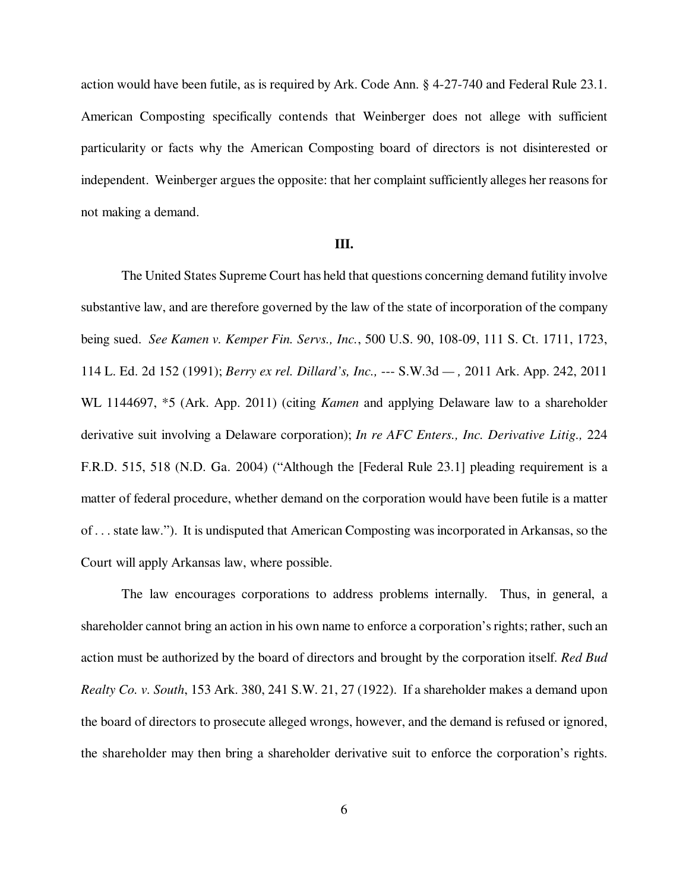action would have been futile, as is required by Ark. Code Ann. § 4-27-740 and Federal Rule 23.1. American Composting specifically contends that Weinberger does not allege with sufficient particularity or facts why the American Composting board of directors is not disinterested or independent. Weinberger argues the opposite: that her complaint sufficiently alleges her reasons for not making a demand.

### **III.**

The United States Supreme Court has held that questions concerning demand futility involve substantive law, and are therefore governed by the law of the state of incorporation of the company being sued. *See Kamen v. Kemper Fin. Servs., Inc.*, 500 U.S. 90, 108-09, 111 S. Ct. 1711, 1723, 114 L. Ed. 2d 152 (1991); *Berry ex rel. Dillard's, Inc.,* --- S.W.3d *— ,* 2011 Ark. App. 242, 2011 WL 1144697, \*5 (Ark. App. 2011) (citing *Kamen* and applying Delaware law to a shareholder derivative suit involving a Delaware corporation); *In re AFC Enters., Inc. Derivative Litig.,* 224 F.R.D. 515, 518 (N.D. Ga. 2004) ("Although the [Federal Rule 23.1] pleading requirement is a matter of federal procedure, whether demand on the corporation would have been futile is a matter of . . . state law."). It is undisputed that American Composting was incorporated in Arkansas, so the Court will apply Arkansas law, where possible.

The law encourages corporations to address problems internally. Thus, in general, a shareholder cannot bring an action in his own name to enforce a corporation's rights; rather, such an action must be authorized by the board of directors and brought by the corporation itself. *Red Bud Realty Co. v. South*, 153 Ark. 380, 241 S.W. 21, 27 (1922). If a shareholder makes a demand upon the board of directors to prosecute alleged wrongs, however, and the demand is refused or ignored, the shareholder may then bring a shareholder derivative suit to enforce the corporation's rights.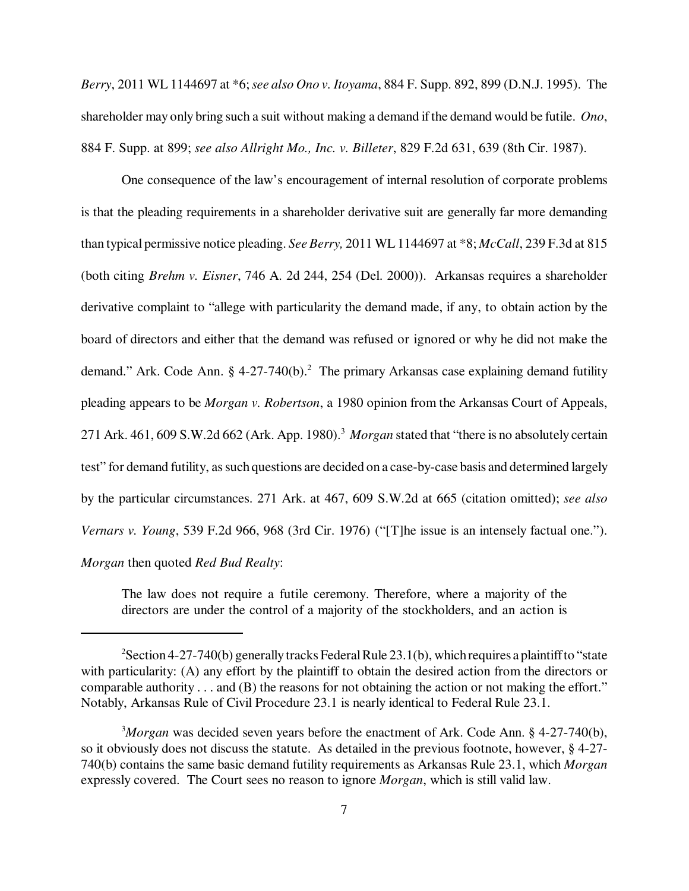*Berry*, 2011 WL 1144697 at \*6; *see also Ono v. Itoyama*, 884 F. Supp. 892, 899 (D.N.J. 1995). The shareholder may only bring such a suit without making a demand if the demand would be futile. *Ono*, 884 F. Supp. at 899; *see also Allright Mo., Inc. v. Billeter*, 829 F.2d 631, 639 (8th Cir. 1987).

One consequence of the law's encouragement of internal resolution of corporate problems is that the pleading requirements in a shareholder derivative suit are generally far more demanding than typical permissive notice pleading. *See Berry,* 2011 WL 1144697 at \*8; *McCall*, 239 F.3d at 815 (both citing *Brehm v. Eisner*, 746 A. 2d 244, 254 (Del. 2000)). Arkansas requires a shareholder derivative complaint to "allege with particularity the demand made, if any, to obtain action by the board of directors and either that the demand was refused or ignored or why he did not make the demand." Ark. Code Ann. § 4-27-740 $(b)$ .<sup>2</sup> The primary Arkansas case explaining demand futility pleading appears to be *Morgan v. Robertson*, a 1980 opinion from the Arkansas Court of Appeals, 271 Ark. 461, 609 S.W.2d 662 (Ark. App. 1980).<sup>3</sup> Morgan stated that "there is no absolutely certain test" for demand futility, as such questions are decided on a case-by-case basis and determined largely by the particular circumstances. 271 Ark. at 467, 609 S.W.2d at 665 (citation omitted); *see also Vernars v. Young*, 539 F.2d 966, 968 (3rd Cir. 1976) ("[T]he issue is an intensely factual one."). *Morgan* then quoted *Red Bud Realty*:

The law does not require a futile ceremony. Therefore, where a majority of the directors are under the control of a majority of the stockholders, and an action is

<sup>&</sup>lt;sup>2</sup>Section 4-27-740(b) generally tracks Federal Rule 23.1(b), which requires a plaintiff to "state" with particularity: (A) any effort by the plaintiff to obtain the desired action from the directors or comparable authority . . . and (B) the reasons for not obtaining the action or not making the effort." Notably, Arkansas Rule of Civil Procedure 23.1 is nearly identical to Federal Rule 23.1.

<sup>3</sup>*Morgan* was decided seven years before the enactment of Ark. Code Ann. § 4-27-740(b), so it obviously does not discuss the statute. As detailed in the previous footnote, however, § 4-27- 740(b) contains the same basic demand futility requirements as Arkansas Rule 23.1, which *Morgan* expressly covered. The Court sees no reason to ignore *Morgan*, which is still valid law.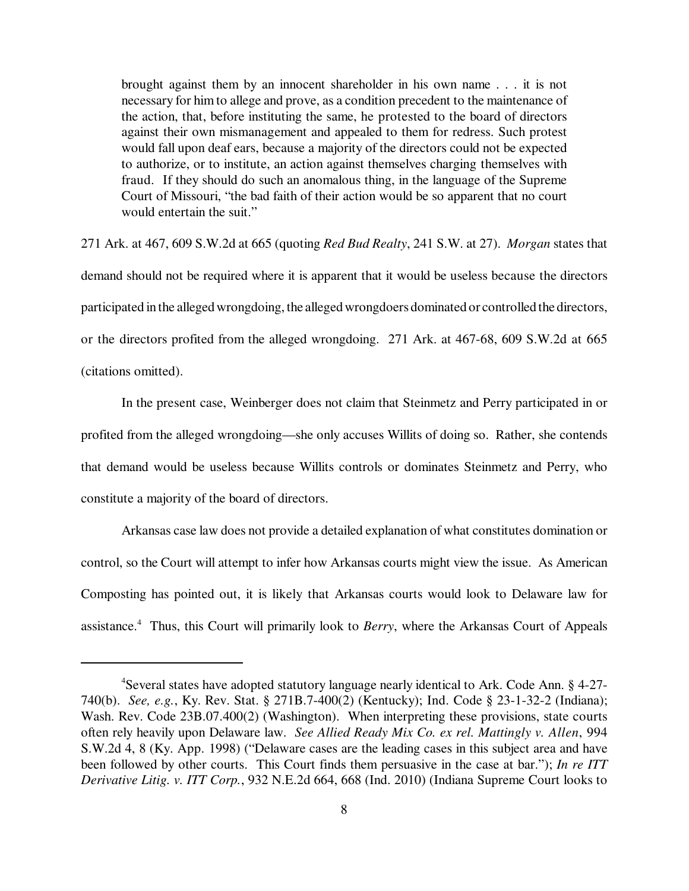brought against them by an innocent shareholder in his own name . . . it is not necessary for him to allege and prove, as a condition precedent to the maintenance of the action, that, before instituting the same, he protested to the board of directors against their own mismanagement and appealed to them for redress. Such protest would fall upon deaf ears, because a majority of the directors could not be expected to authorize, or to institute, an action against themselves charging themselves with fraud. If they should do such an anomalous thing, in the language of the Supreme Court of Missouri, "the bad faith of their action would be so apparent that no court would entertain the suit."

271 Ark. at 467, 609 S.W.2d at 665 (quoting *Red Bud Realty*, 241 S.W. at 27). *Morgan* states that demand should not be required where it is apparent that it would be useless because the directors participated in the alleged wrongdoing, the alleged wrongdoers dominated or controlled the directors, or the directors profited from the alleged wrongdoing. 271 Ark. at 467-68, 609 S.W.2d at 665 (citations omitted).

In the present case, Weinberger does not claim that Steinmetz and Perry participated in or profited from the alleged wrongdoing—she only accuses Willits of doing so. Rather, she contends that demand would be useless because Willits controls or dominates Steinmetz and Perry, who constitute a majority of the board of directors.

Arkansas case law does not provide a detailed explanation of what constitutes domination or control, so the Court will attempt to infer how Arkansas courts might view the issue. As American Composting has pointed out, it is likely that Arkansas courts would look to Delaware law for assistance.<sup>4</sup> Thus, this Court will primarily look to *Berry*, where the Arkansas Court of Appeals

<sup>4</sup>Several states have adopted statutory language nearly identical to Ark. Code Ann. § 4-27- 740(b). *See, e.g.*, Ky. Rev. Stat. § 271B.7-400(2) (Kentucky); Ind. Code § 23-1-32-2 (Indiana); Wash. Rev. Code 23B.07.400(2) (Washington). When interpreting these provisions, state courts often rely heavily upon Delaware law. *See Allied Ready Mix Co. ex rel. Mattingly v. Allen*, 994 S.W.2d 4, 8 (Ky. App. 1998) ("Delaware cases are the leading cases in this subject area and have been followed by other courts. This Court finds them persuasive in the case at bar."); *In re ITT Derivative Litig. v. ITT Corp.*, 932 N.E.2d 664, 668 (Ind. 2010) (Indiana Supreme Court looks to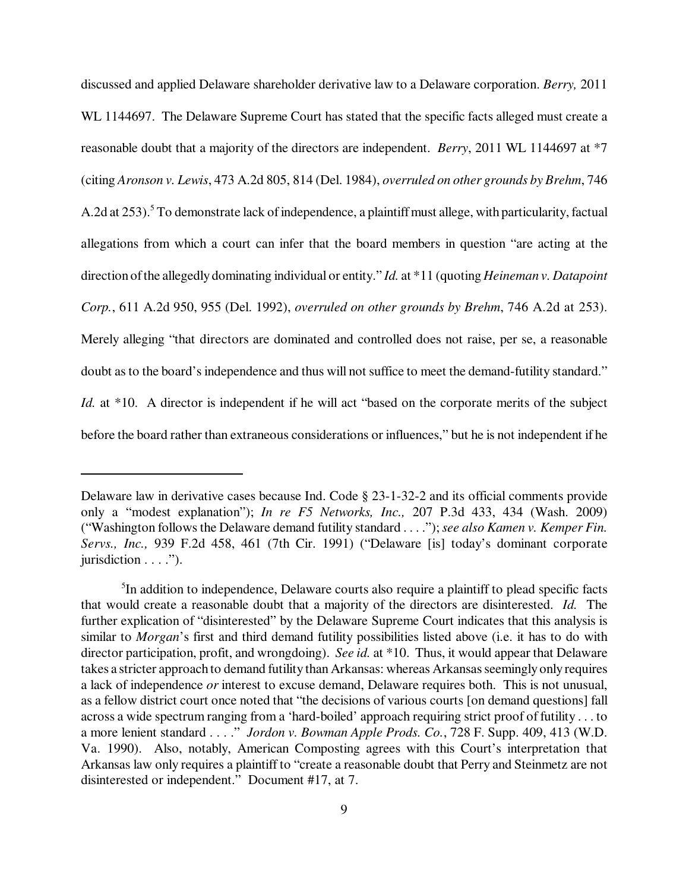discussed and applied Delaware shareholder derivative law to a Delaware corporation. *Berry,* 2011 WL 1144697. The Delaware Supreme Court has stated that the specific facts alleged must create a reasonable doubt that a majority of the directors are independent. *Berry*, 2011 WL 1144697 at \*7 (citing *Aronson v. Lewis*, 473 A.2d 805, 814 (Del. 1984), *overruled on other grounds by Brehm*, 746 A.2d at 253).<sup>5</sup> To demonstrate lack of independence, a plaintiff must allege, with particularity, factual allegations from which a court can infer that the board members in question "are acting at the direction of the allegedly dominating individual or entity." *Id.* at \*11 (quoting *Heineman v. Datapoint Corp.*, 611 A.2d 950, 955 (Del. 1992), *overruled on other grounds by Brehm*, 746 A.2d at 253). Merely alleging "that directors are dominated and controlled does not raise, per se, a reasonable doubt as to the board's independence and thus will not suffice to meet the demand-futility standard." *Id.* at \*10. A director is independent if he will act "based on the corporate merits of the subject before the board rather than extraneous considerations or influences," but he is not independent if he

Delaware law in derivative cases because Ind. Code § 23-1-32-2 and its official comments provide only a "modest explanation"); *In re F5 Networks, Inc.,* 207 P.3d 433, 434 (Wash. 2009) ("Washington follows the Delaware demand futility standard . . . ."); *see also Kamen v. Kemper Fin. Servs., Inc.,* 939 F.2d 458, 461 (7th Cir. 1991) ("Delaware [is] today's dominant corporate jurisdiction . . . .").

<sup>&</sup>lt;sup>5</sup>In addition to independence, Delaware courts also require a plaintiff to plead specific facts that would create a reasonable doubt that a majority of the directors are disinterested. *Id.* The further explication of "disinterested" by the Delaware Supreme Court indicates that this analysis is similar to *Morgan*'s first and third demand futility possibilities listed above (i.e. it has to do with director participation, profit, and wrongdoing). *See id.* at \*10. Thus, it would appear that Delaware takes a stricter approach to demand futility than Arkansas: whereas Arkansas seemingly only requires a lack of independence *or* interest to excuse demand, Delaware requires both. This is not unusual, as a fellow district court once noted that "the decisions of various courts [on demand questions] fall across a wide spectrum ranging from a 'hard-boiled' approach requiring strict proof of futility . . . to a more lenient standard . . . ." *Jordon v. Bowman Apple Prods. Co.*, 728 F. Supp. 409, 413 (W.D. Va. 1990). Also, notably, American Composting agrees with this Court's interpretation that Arkansas law only requires a plaintiff to "create a reasonable doubt that Perry and Steinmetz are not disinterested or independent." Document #17, at 7.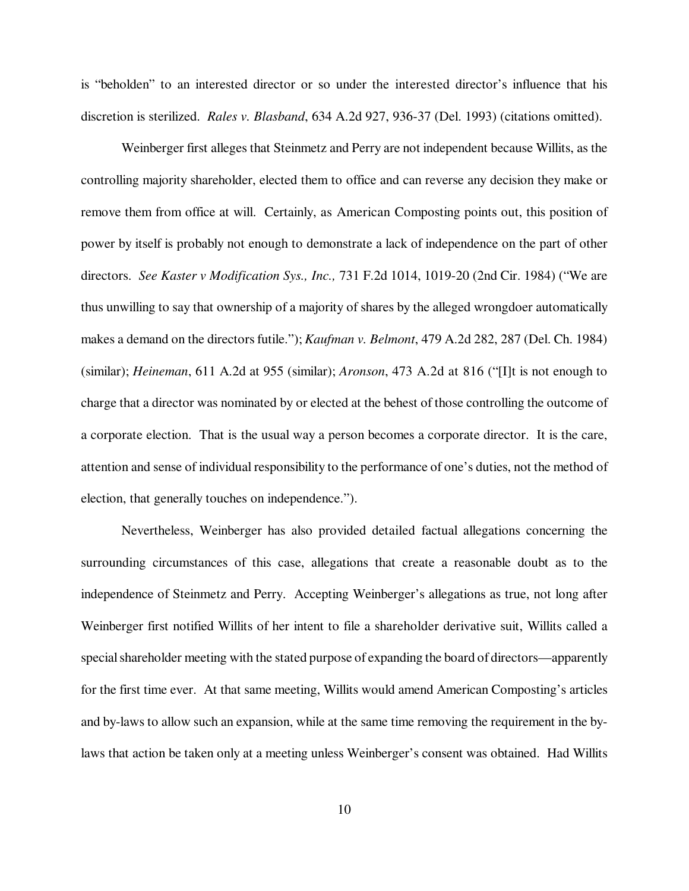is "beholden" to an interested director or so under the interested director's influence that his discretion is sterilized. *Rales v. Blasband*, 634 A.2d 927, 936-37 (Del. 1993) (citations omitted).

Weinberger first alleges that Steinmetz and Perry are not independent because Willits, as the controlling majority shareholder, elected them to office and can reverse any decision they make or remove them from office at will. Certainly, as American Composting points out, this position of power by itself is probably not enough to demonstrate a lack of independence on the part of other directors. *See Kaster v Modification Sys., Inc.,* 731 F.2d 1014, 1019-20 (2nd Cir. 1984) ("We are thus unwilling to say that ownership of a majority of shares by the alleged wrongdoer automatically makes a demand on the directors futile."); *Kaufman v. Belmont*, 479 A.2d 282, 287 (Del. Ch. 1984) (similar); *Heineman*, 611 A.2d at 955 (similar); *Aronson*, 473 A.2d at 816 ("[I]t is not enough to charge that a director was nominated by or elected at the behest of those controlling the outcome of a corporate election. That is the usual way a person becomes a corporate director. It is the care, attention and sense of individual responsibility to the performance of one's duties, not the method of election, that generally touches on independence.").

Nevertheless, Weinberger has also provided detailed factual allegations concerning the surrounding circumstances of this case, allegations that create a reasonable doubt as to the independence of Steinmetz and Perry. Accepting Weinberger's allegations as true, not long after Weinberger first notified Willits of her intent to file a shareholder derivative suit, Willits called a special shareholder meeting with the stated purpose of expanding the board of directors—apparently for the first time ever. At that same meeting, Willits would amend American Composting's articles and by-laws to allow such an expansion, while at the same time removing the requirement in the bylaws that action be taken only at a meeting unless Weinberger's consent was obtained. Had Willits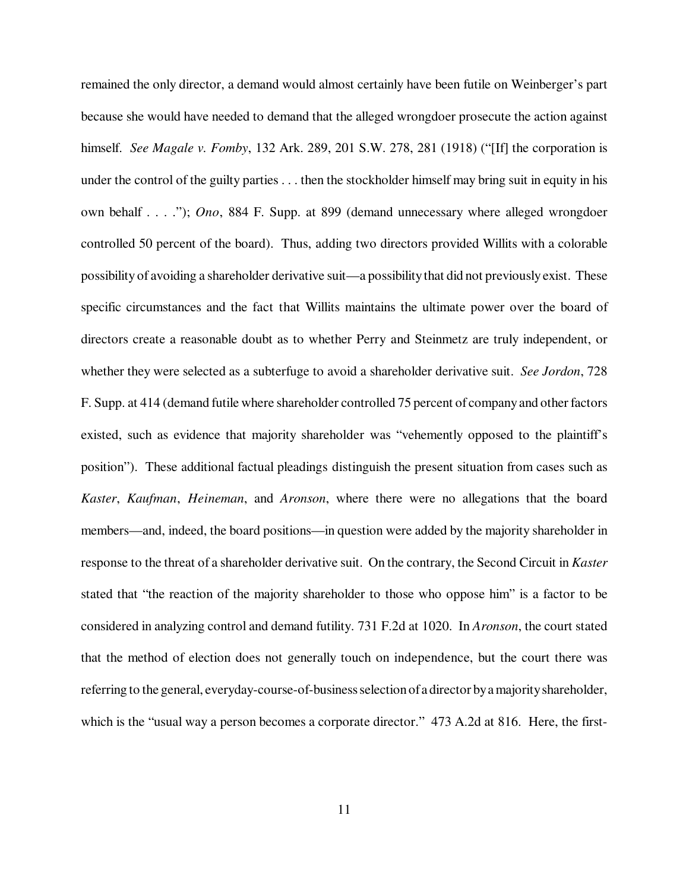remained the only director, a demand would almost certainly have been futile on Weinberger's part because she would have needed to demand that the alleged wrongdoer prosecute the action against himself. *See Magale v. Fomby*, 132 Ark. 289, 201 S.W. 278, 281 (1918) ("[If] the corporation is under the control of the guilty parties . . . then the stockholder himself may bring suit in equity in his own behalf . . . ."); *Ono*, 884 F. Supp. at 899 (demand unnecessary where alleged wrongdoer controlled 50 percent of the board). Thus, adding two directors provided Willits with a colorable possibility of avoiding a shareholder derivative suit—a possibility that did not previously exist. These specific circumstances and the fact that Willits maintains the ultimate power over the board of directors create a reasonable doubt as to whether Perry and Steinmetz are truly independent, or whether they were selected as a subterfuge to avoid a shareholder derivative suit. *See Jordon*, 728 F. Supp. at 414 (demand futile where shareholder controlled 75 percent of company and other factors existed, such as evidence that majority shareholder was "vehemently opposed to the plaintiff's position"). These additional factual pleadings distinguish the present situation from cases such as *Kaster*, *Kaufman*, *Heineman*, and *Aronson*, where there were no allegations that the board members—and, indeed, the board positions—in question were added by the majority shareholder in response to the threat of a shareholder derivative suit. On the contrary, the Second Circuit in *Kaster* stated that "the reaction of the majority shareholder to those who oppose him" is a factor to be considered in analyzing control and demand futility. 731 F.2d at 1020. In *Aronson*, the court stated that the method of election does not generally touch on independence, but the court there was referring to the general, everyday-course-of-business selection of a director by a majority shareholder, which is the "usual way a person becomes a corporate director." 473 A.2d at 816. Here, the first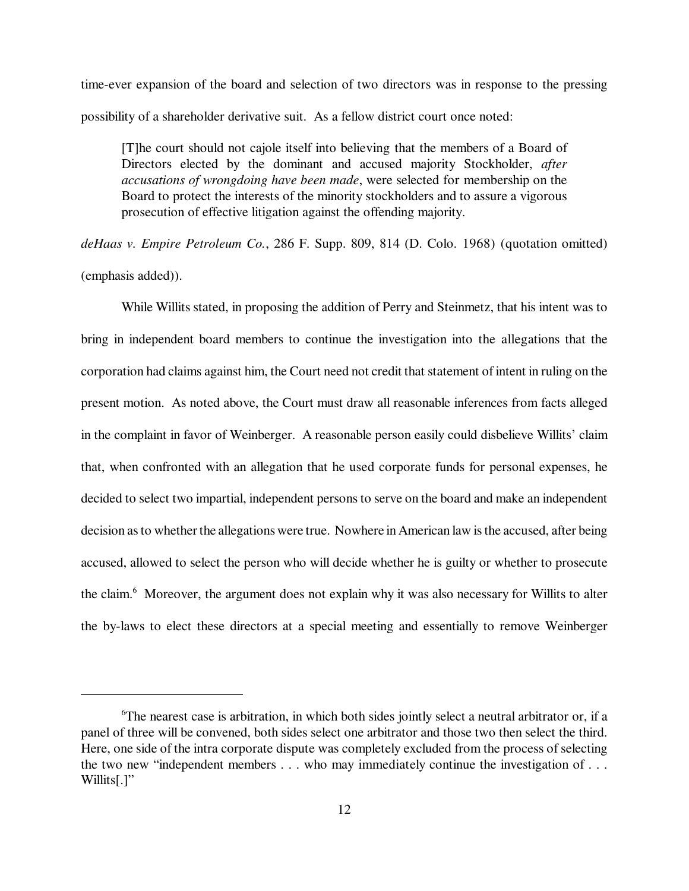time-ever expansion of the board and selection of two directors was in response to the pressing possibility of a shareholder derivative suit. As a fellow district court once noted:

[T]he court should not cajole itself into believing that the members of a Board of Directors elected by the dominant and accused majority Stockholder, *after accusations of wrongdoing have been made*, were selected for membership on the Board to protect the interests of the minority stockholders and to assure a vigorous prosecution of effective litigation against the offending majority.

*deHaas v. Empire Petroleum Co.*, 286 F. Supp. 809, 814 (D. Colo. 1968) (quotation omitted) (emphasis added)).

While Willits stated, in proposing the addition of Perry and Steinmetz, that his intent was to bring in independent board members to continue the investigation into the allegations that the corporation had claims against him, the Court need not credit that statement of intent in ruling on the present motion. As noted above, the Court must draw all reasonable inferences from facts alleged in the complaint in favor of Weinberger. A reasonable person easily could disbelieve Willits' claim that, when confronted with an allegation that he used corporate funds for personal expenses, he decided to select two impartial, independent persons to serve on the board and make an independent decision as to whether the allegations were true. Nowhere in American law is the accused, after being accused, allowed to select the person who will decide whether he is guilty or whether to prosecute the claim.<sup>6</sup> Moreover, the argument does not explain why it was also necessary for Willits to alter the by-laws to elect these directors at a special meeting and essentially to remove Weinberger

<sup>6</sup>The nearest case is arbitration, in which both sides jointly select a neutral arbitrator or, if a panel of three will be convened, both sides select one arbitrator and those two then select the third. Here, one side of the intra corporate dispute was completely excluded from the process of selecting the two new "independent members . . . who may immediately continue the investigation of . . . Willits[.]"